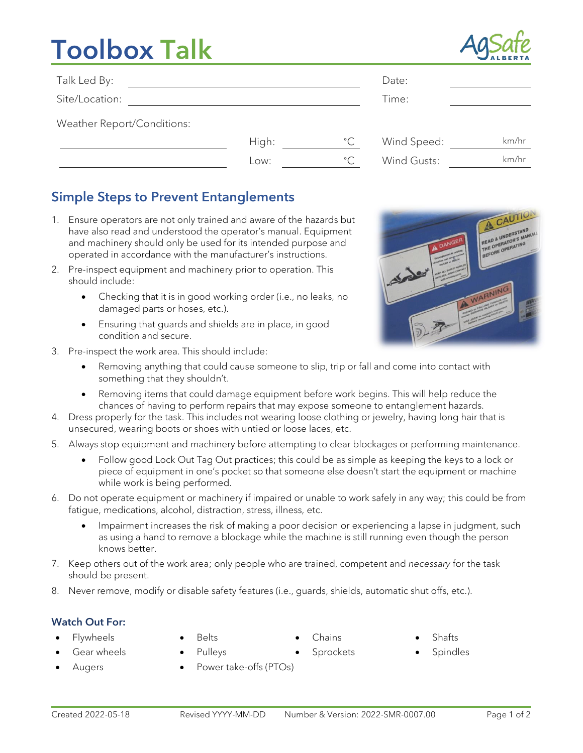# Toolbox Talk



| Talk Led By:               |       |              | Date:       |       |
|----------------------------|-------|--------------|-------------|-------|
| Site/Location:             |       |              | Time:       |       |
| Weather Report/Conditions: |       |              |             |       |
|                            | High: | $^{\circ}$ C | Wind Speed: | km/hr |
|                            | LOW:  | $^{\circ}$ C | Wind Gusts: | km/hr |

## Simple Steps to Prevent Entanglements

- 1. Ensure operators are not only trained and aware of the hazards but have also read and understood the operator's manual. Equipment and machinery should only be used for its intended purpose and operated in accordance with the manufacturer's instructions.
- 2. Pre-inspect equipment and machinery prior to operation. This should include:
	- Checking that it is in good working order (i.e., no leaks, no damaged parts or hoses, etc.).
	- Ensuring that guards and shields are in place, in good condition and secure.
- 3. Pre-inspect the work area. This should include:
	- Removing anything that could cause someone to slip, trip or fall and come into contact with something that they shouldn't.
	- Removing items that could damage equipment before work begins. This will help reduce the chances of having to perform repairs that may expose someone to entanglement hazards.
- 4. Dress properly for the task. This includes not wearing loose clothing or jewelry, having long hair that is unsecured, wearing boots or shoes with untied or loose laces, etc.
- 5. Always stop equipment and machinery before attempting to clear blockages or performing maintenance.
	- Follow good Lock Out Tag Out practices; this could be as simple as keeping the keys to a lock or piece of equipment in one's pocket so that someone else doesn't start the equipment or machine while work is being performed.
- 6. Do not operate equipment or machinery if impaired or unable to work safely in any way; this could be from fatigue, medications, alcohol, distraction, stress, illness, etc.
	- Impairment increases the risk of making a poor decision or experiencing a lapse in judgment, such as using a hand to remove a blockage while the machine is still running even though the person knows better.
- 7. Keep others out of the work area; only people who are trained, competent and *necessary* for the task should be present.
- 8. Never remove, modify or disable safety features (i.e., guards, shields, automatic shut offs, etc.).

### Watch Out For:

- -
- 
- 
- Flywheels Belts Chains Shafts
- Gear wheels Pulleys Sprockets Spindles
	- Augers Power take-offs (PTOs)
-